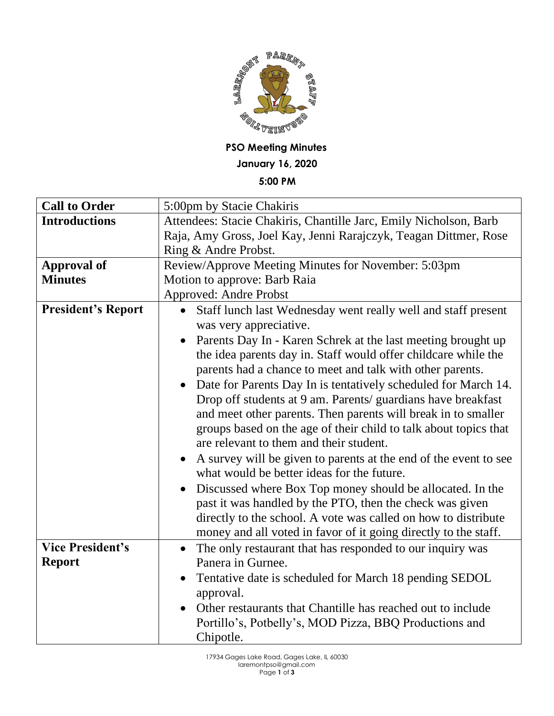

## **PSO Meeting Minutes**

**January 16, 2020**

**5:00 PM**

| <b>Call to Order</b>                     | 5:00pm by Stacie Chakiris                                                                                                                                                                                                                                                                                                                                                                              |
|------------------------------------------|--------------------------------------------------------------------------------------------------------------------------------------------------------------------------------------------------------------------------------------------------------------------------------------------------------------------------------------------------------------------------------------------------------|
| <b>Introductions</b>                     | Attendees: Stacie Chakiris, Chantille Jarc, Emily Nicholson, Barb                                                                                                                                                                                                                                                                                                                                      |
|                                          | Raja, Amy Gross, Joel Kay, Jenni Rarajczyk, Teagan Dittmer, Rose                                                                                                                                                                                                                                                                                                                                       |
|                                          | Ring & Andre Probst.                                                                                                                                                                                                                                                                                                                                                                                   |
| <b>Approval of</b>                       | Review/Approve Meeting Minutes for November: 5:03pm                                                                                                                                                                                                                                                                                                                                                    |
| <b>Minutes</b>                           | Motion to approve: Barb Raia                                                                                                                                                                                                                                                                                                                                                                           |
|                                          | <b>Approved: Andre Probst</b>                                                                                                                                                                                                                                                                                                                                                                          |
| <b>President's Report</b>                | Staff lunch last Wednesday went really well and staff present<br>$\bullet$<br>was very appreciative.<br>Parents Day In - Karen Schrek at the last meeting brought up<br>$\bullet$<br>the idea parents day in. Staff would offer childcare while the                                                                                                                                                    |
|                                          | parents had a chance to meet and talk with other parents.<br>Date for Parents Day In is tentatively scheduled for March 14.<br>$\bullet$<br>Drop off students at 9 am. Parents/ guardians have breakfast<br>and meet other parents. Then parents will break in to smaller<br>groups based on the age of their child to talk about topics that<br>are relevant to them and their student.               |
|                                          | A survey will be given to parents at the end of the event to see<br>$\bullet$<br>what would be better ideas for the future.<br>Discussed where Box Top money should be allocated. In the<br>$\bullet$<br>past it was handled by the PTO, then the check was given<br>directly to the school. A vote was called on how to distribute<br>money and all voted in favor of it going directly to the staff. |
| <b>Vice President's</b><br><b>Report</b> | The only restaurant that has responded to our inquiry was<br>$\bullet$<br>Panera in Gurnee.<br>Tentative date is scheduled for March 18 pending SEDOL<br>approval.<br>Other restaurants that Chantille has reached out to include<br>Portillo's, Potbelly's, MOD Pizza, BBQ Productions and<br>Chipotle.                                                                                               |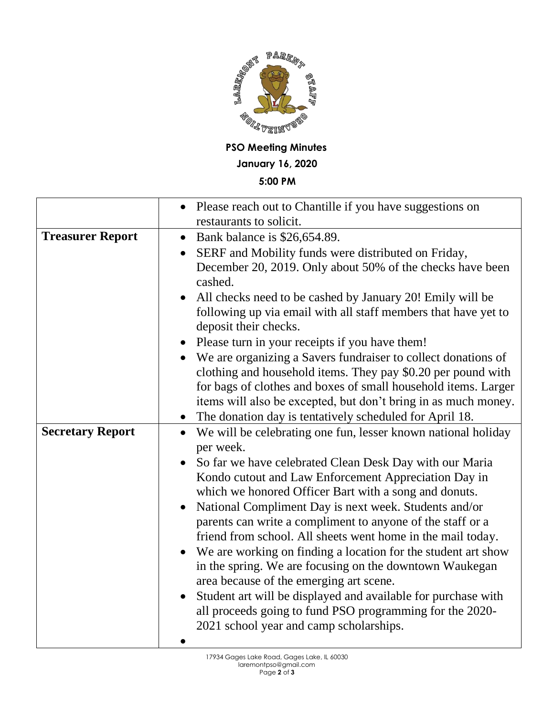

**PSO Meeting Minutes January 16, 2020**

## **5:00 PM**

|                         | Please reach out to Chantille if you have suggestions on                                                                                                                                                                                                                                                                                  |
|-------------------------|-------------------------------------------------------------------------------------------------------------------------------------------------------------------------------------------------------------------------------------------------------------------------------------------------------------------------------------------|
|                         | restaurants to solicit.                                                                                                                                                                                                                                                                                                                   |
| <b>Treasurer Report</b> | Bank balance is \$26,654.89.<br>$\bullet$                                                                                                                                                                                                                                                                                                 |
|                         | SERF and Mobility funds were distributed on Friday,<br>$\bullet$                                                                                                                                                                                                                                                                          |
|                         | December 20, 2019. Only about 50% of the checks have been<br>cashed.                                                                                                                                                                                                                                                                      |
|                         | All checks need to be cashed by January 20! Emily will be<br>following up via email with all staff members that have yet to<br>deposit their checks.                                                                                                                                                                                      |
|                         | Please turn in your receipts if you have them!<br>$\bullet$                                                                                                                                                                                                                                                                               |
|                         | We are organizing a Savers fundraiser to collect donations of<br>clothing and household items. They pay \$0.20 per pound with<br>for bags of clothes and boxes of small household items. Larger<br>items will also be excepted, but don't bring in as much money.<br>The donation day is tentatively scheduled for April 18.<br>$\bullet$ |
|                         |                                                                                                                                                                                                                                                                                                                                           |
|                         |                                                                                                                                                                                                                                                                                                                                           |
| <b>Secretary Report</b> | We will be celebrating one fun, lesser known national holiday<br>$\bullet$                                                                                                                                                                                                                                                                |
|                         | per week.                                                                                                                                                                                                                                                                                                                                 |
|                         | So far we have celebrated Clean Desk Day with our Maria<br>$\bullet$                                                                                                                                                                                                                                                                      |
|                         | Kondo cutout and Law Enforcement Appreciation Day in                                                                                                                                                                                                                                                                                      |
|                         | which we honored Officer Bart with a song and donuts.<br>National Compliment Day is next week. Students and/or<br>$\bullet$<br>parents can write a compliment to anyone of the staff or a                                                                                                                                                 |
|                         | friend from school. All sheets went home in the mail today.                                                                                                                                                                                                                                                                               |
|                         | We are working on finding a location for the student art show<br>$\bullet$<br>in the spring. We are focusing on the downtown Waukegan<br>area because of the emerging art scene.                                                                                                                                                          |
|                         | Student art will be displayed and available for purchase with<br>$\bullet$<br>all proceeds going to fund PSO programming for the 2020-<br>2021 school year and camp scholarships.                                                                                                                                                         |